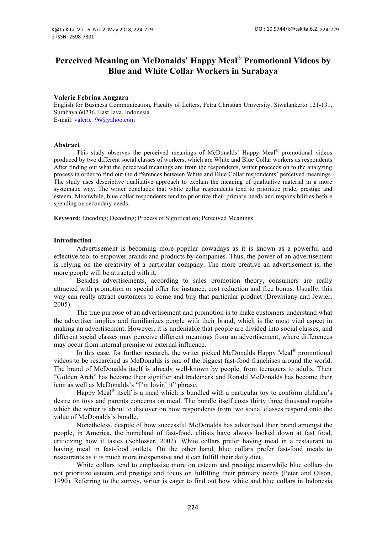# **Perceived Meaning on McDonalds' Happy Meal® Promotional Videos by Blue and White Collar Workers in Surabaya**

#### **Valerie Febrina Anggara**

English for Business Communication, Faculty of Letters, Petra Christian University, Siwalankerto 121-131, Surabaya 60236, East Java, Indonesia E-mail: valerie\_96@yahoo.com

#### **Abstract**

This study observes the perceived meanings of McDonalds' Happy Meal® promotional videos produced by two different social classes of workers, which are White and Blue Collar workers as respondents. After finding out what the perceived meanings are from the respondents, writer proceeds on to the analyzing process in order to find out the differences between White and Blue Collar respondents' perceived meanings. The study uses descriptive qualitative approach to explain the meaning of qualitative material in a more systematic way. The writer concludes that white collar respondents tend to prioritize pride, prestige and esteem. Meanwhile, blue collar respondents tend to prioritize their primary needs and responsibilities before spending on secondary needs.

**Keyword**: Encoding; Decoding; Process of Signification; Perceived Meanings

#### **Introduction**

Advertisement is becoming more popular nowadays as it is known as a powerful and effective tool to empower brands and products by companies. Thus, the power of an advertisement is relying on the creativity of a particular company. The more creative an advertisement is, the more people will be attracted with it.

Besides advertisements, according to sales promotion theory, consumers are really attracted with promotion or special offer for instance, cost reduction and free bonus. Usually, this way can really attract customers to come and buy that particular product (Drewniany and Jewler, 2005).

The true purpose of an advertisement and promotion is to make customers understand what the advertiser implies and familiarizes people with their brand, which is the most vital aspect in making an advertisement. However, it is undeniable that people are divided into social classes, and different social classes may perceive different meanings from an advertisement, where differences may occur from internal premise or external influence.

In this case, for further research, the writer picked McDonalds Happy Meal® promotional videos to be researched as McDonalds is one of the biggest fast-food franchises around the world. The brand of McDonalds itself is already well-known by people, from teenagers to adults. Their "Golden Arch" has become their signifier and trademark and Ronald McDonalds has become their icon as well as McDonalds's "I'm lovin' it" phrase.

Happy Meal<sup>®</sup> itself is a meal which is bundled with a particular toy to conform children's desire on toys and parents concerns on meal. The bundle itself costs thirty three thousand rupiahs which the writer is about to discover on how respondents from two social classes respond onto the value of McDonalds's bundle.

Nonetheless, despite of how successful McDonalds has advertised their brand amongst the people, in America, the homeland of fast-food, elitists have always looked down at fast food, criticizing how it tastes (Schlosser, 2002). White collars prefer having meal in a restaurant to having meal in fast-food outlets. On the other hand, blue collars prefer fast-food meals to restaurants as it is much more inexpensive and it can fulfill their daily diet.

White collars tend to emphasize more on esteem and prestige meanwhile blue collars do not prioritize esteem and prestige and focus on fulfilling their primary needs (Peter and Olson, 1990). Referring to the survey, writer is eager to find out how white and blue collars in Indonesia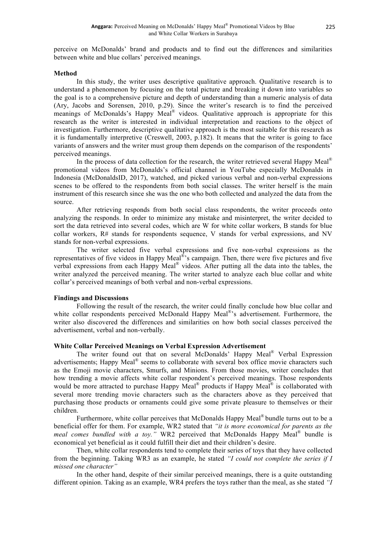perceive on McDonalds' brand and products and to find out the differences and similarities between white and blue collars' perceived meanings.

## **Method**

In this study, the writer uses descriptive qualitative approach. Qualitative research is to understand a phenomenon by focusing on the total picture and breaking it down into variables so the goal is to a comprehensive picture and depth of understanding than a numeric analysis of data (Ary, Jacobs and Sorensen, 2010, p.29). Since the writer's research is to find the perceived meanings of McDonalds's Happy Meal<sup>®</sup> videos. Qualitative approach is appropriate for this research as the writer is interested in individual interpretation and reactions to the object of investigation. Furthermore, descriptive qualitative approach is the most suitable for this research as it is fundamentally interpretive (Creswell, 2003, p.182). It means that the writer is going to face variants of answers and the writer must group them depends on the comparison of the respondents' perceived meanings.

In the process of data collection for the research, the writer retrieved several Happy Meal<sup>®</sup> promotional videos from McDonalds's official channel in YouTube especially McDonalds in Indonesia (McDonaldsID, 2017), watched, and picked various verbal and non-verbal expressions scenes to be offered to the respondents from both social classes. The writer herself is the main instrument of this research since she was the one who both collected and analyzed the data from the source.

After retrieving responds from both social class respondents, the writer proceeds onto analyzing the responds. In order to minimize any mistake and misinterpret, the writer decided to sort the data retrieved into several codes, which are W for white collar workers, B stands for blue collar workers, R# stands for respondents sequence, V stands for verbal expressions, and NV stands for non-verbal expressions.

The writer selected five verbal expressions and five non-verbal expressions as the representatives of five videos in Happy Meal<sup>®</sup>'s campaign. Then, there were five pictures and five verbal expressions from each Happy Meal® videos. After putting all the data into the tables, the writer analyzed the perceived meaning. The writer started to analyze each blue collar and white collar's perceived meanings of both verbal and non-verbal expressions.

## **Findings and Discussions**

Following the result of the research, the writer could finally conclude how blue collar and white collar respondents perceived McDonald Happy Meal®'s advertisement. Furthermore, the writer also discovered the differences and similarities on how both social classes perceived the advertisement, verbal and non-verbally.

## **White Collar Perceived Meanings on Verbal Expression Advertisement**

The writer found out that on several McDonalds' Happy Meal® Verbal Expression advertisements; Happy Meal<sup>®</sup> seems to collaborate with several box office movie characters such as the Emoji movie characters, Smurfs, and Minions. From those movies, writer concludes that how trending a movie affects white collar respondent's perceived meanings. Those respondents would be more attracted to purchase Happy Meal<sup>®</sup> products if Happy Meal<sup>®</sup> is collaborated with several more trending movie characters such as the characters above as they perceived that purchasing those products or ornaments could give some private pleasure to themselves or their children.

Furthermore, white collar perceives that McDonalds Happy Meal® bundle turns out to be a beneficial offer for them. For example, WR2 stated that *"it is more economical for parents as the meal comes bundled with a toy.*" WR2 perceived that McDonalds Happy Meal<sup>®</sup> bundle is economical yet beneficial as it could fulfill their diet and their children's desire.

Then, white collar respondents tend to complete their series of toys that they have collected from the beginning. Taking WR3 as an example, he stated *"I could not complete the series if I missed one character"*

In the other hand, despite of their similar perceived meanings, there is a quite outstanding different opinion. Taking as an example, WR4 prefers the toys rather than the meal, as she stated *"I*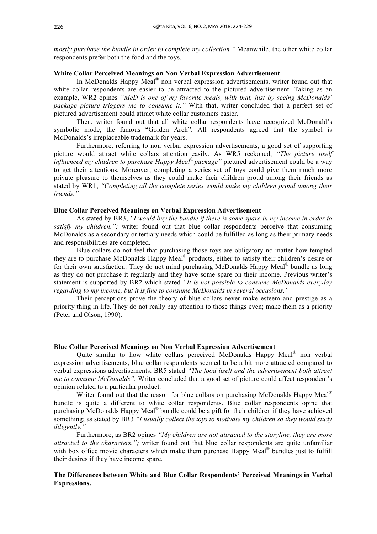*mostly purchase the bundle in order to complete my collection."* Meanwhile, the other white collar respondents prefer both the food and the toys.

# **White Collar Perceived Meanings on Non Verbal Expression Advertisement**

In McDonalds Happy Meal® non verbal expression advertisements, writer found out that white collar respondents are easier to be attracted to the pictured advertisement. Taking as an example, WR2 opines *"McD is one of my favorite meals, with that, just by seeing McDonalds' package picture triggers me to consume it."* With that, writer concluded that a perfect set of pictured advertisement could attract white collar customers easier.

Then, writer found out that all white collar respondents have recognized McDonald's symbolic mode, the famous "Golden Arch". All respondents agreed that the symbol is McDonalds's irreplaceable trademark for years.

Furthermore, referring to non verbal expression advertisements, a good set of supporting picture would attract white collars attention easily. As WR5 reckoned, *"The picture itself influenced my children to purchase Happy Meal*® *package"* pictured advertisement could be a way to get their attentions. Moreover, completing a series set of toys could give them much more private pleasure to themselves as they could make their children proud among their friends as stated by WR1, *"Completing all the complete series would make my children proud among their friends."*

#### **Blue Collar Perceived Meanings on Verbal Expression Advertisement**

As stated by BR3, *"I would buy the bundle if there is some spare in my income in order to satisfy my children.";* writer found out that blue collar respondents perceive that consuming McDonalds as a secondary or tertiary needs which could be fulfilled as long as their primary needs and responsibilities are completed.

Blue collars do not feel that purchasing those toys are obligatory no matter how tempted they are to purchase McDonalds Happy Meal® products, either to satisfy their children's desire or for their own satisfaction. They do not mind purchasing McDonalds Happy Meal® bundle as long as they do not purchase it regularly and they have some spare on their income. Previous writer's statement is supported by BR2 which stated *"It is not possible to consume McDonalds everyday regarding to my income, but it is fine to consume McDonalds in several occasions."*

Their perceptions prove the theory of blue collars never make esteem and prestige as a priority thing in life. They do not really pay attention to those things even; make them as a priority (Peter and Olson, 1990).

#### **Blue Collar Perceived Meanings on Non Verbal Expression Advertisement**

Quite similar to how white collars perceived McDonalds Happy Meal® non verbal expression advertisements, blue collar respondents seemed to be a bit more attracted compared to verbal expressions advertisements. BR5 stated *"The food itself and the advertisement both attract me to consume McDonalds".* Writer concluded that a good set of picture could affect respondent's opinion related to a particular product.

Writer found out that the reason for blue collars on purchasing McDonalds Happy Meal<sup>®</sup> bundle is quite a different to white collar respondents. Blue collar respondents opine that purchasing McDonalds Happy Meal® bundle could be a gift for their children if they have achieved something; as stated by BR3 *"I usually collect the toys to motivate my children so they would study diligently."*

Furthermore, as BR2 opines *"My children are not attracted to the storyline, they are more attracted to the characters.";* writer found out that blue collar respondents are quite unfamiliar with box office movie characters which make them purchase Happy Meal<sup>®</sup> bundles just to fulfill their desires if they have income spare.

# **The Differences between White and Blue Collar Respondents' Perceived Meanings in Verbal Expressions.**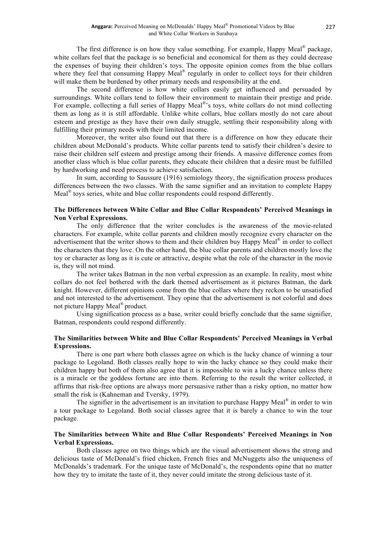The first difference is on how they value something. For example, Happy Meal<sup>®</sup> package, white collars feel that the package is so beneficial and economical for them as they could decrease the expenses of buying their children's toys. The opposite opinion comes from the blue collars where they feel that consuming Happy Meal<sup>®</sup> regularly in order to collect toys for their children will make them be burdened by other primary needs and responsibility at the end.

The second difference is how white collars easily get influenced and persuaded by surroundings. White collars tend to follow their environment to maintain their prestige and pride. For example, collecting a full series of Happy Meal<sup>®</sup>'s toys, white collars do not mind collecting them as long as it is still affordable. Unlike white collars, blue collars mostly do not care about esteem and prestige as they have their own daily struggle, settling their responsibility along with fulfilling their primary needs with their limited income.

Moreover, the writer also found out that there is a difference on how they educate their children about McDonald's products. White collar parents tend to satisfy their children's desire to raise their children self esteem and prestige among their friends. A massive difference comes from another class which is blue collar parents, they educate their children that a desire must be fulfilled by hardworking and need process to achieve satisfaction.

In sum, according to Saussure (1916) semiology theory, the signification process produces differences between the two classes. With the same signifier and an invitation to complete Happy Meal $^{\circ}$  toys series, white and blue collar respondents could respond differently.

## **The Differences between White Collar and Blue Collar Respondents' Perceived Meanings in Non Verbal Expressions.**

The only difference that the writer concludes is the awareness of the movie-related characters. For example, white collar parents and children mostly recognize every character on the advertisement that the writer shows to them and their children buy Happy Meal® in order to collect the characters that they love. On the other hand, the blue collar parents and children mostly love the toy or character as long as it is cute or attractive, despite what the role of the character in the movie is, they will not mind.

The writer takes Batman in the non verbal expression as an example. In reality, most white collars do not feel bothered with the dark themed advertisement as it pictures Batman, the dark knight. However, different opinions come from the blue collars where they reckon to be unsatisfied and not interested to the advertisement. They opine that the advertisement is not colorful and does not picture Happy Meal® product.

Using signification process as a base, writer could briefly conclude that the same signifier, Batman, respondents could respond differently.

# **The Similarities between White and Blue Collar Respondents' Perceived Meanings in Verbal Expressions.**

There is one part where both classes agree on which is the lucky chance of winning a tour package to Legoland. Both classes really hope to win the lucky chance so they could make their children happy but both of them also agree that it is impossible to win a lucky chance unless there is a miracle or the goddess fortune are into them. Referring to the result the writer collected, it affirms that risk-free options are always more persuasive rather than a risky option, no matter how small the risk is (Kahneman and Tversky, 1979).

The signifier in the advertisement is an invitation to purchase Happy Meal<sup>®</sup> in order to win a tour package to Legoland. Both social classes agree that it is barely a chance to win the tour package.

# **The Similarities between White and Blue Collar Respondents' Perceived Meanings in Non Verbal Expressions.**

Both classes agree on two things which are the visual advertisement shows the strong and delicious taste of McDonald's fried chicken, French fries and McNuggets also the uniqueness of McDonalds's trademark. For the unique taste of McDonald's, the respondents opine that no matter how they try to imitate the taste of it, they never could imitate the strong delicious taste of it.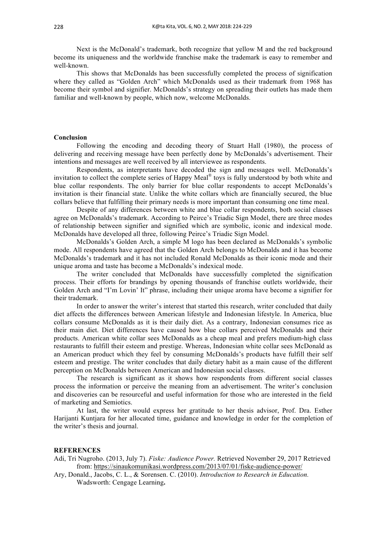Next is the McDonald's trademark, both recognize that yellow M and the red background become its uniqueness and the worldwide franchise make the trademark is easy to remember and well-known.

This shows that McDonalds has been successfully completed the process of signification where they called as "Golden Arch" which McDonalds used as their trademark from 1968 has become their symbol and signifier. McDonalds's strategy on spreading their outlets has made them familiar and well-known by people, which now, welcome McDonalds.

#### **Conclusion**

Following the encoding and decoding theory of Stuart Hall (1980), the process of delivering and receiving message have been perfectly done by McDonalds's advertisement. Their intentions and messages are well received by all interviewee as respondents.

Respondents, as interpretants have decoded the sign and messages well. McDonalds's invitation to collect the complete series of Happy Meal® toys is fully understood by both white and blue collar respondents. The only barrier for blue collar respondents to accept McDonalds's invitation is their financial state. Unlike the white collars which are financially secured, the blue collars believe that fulfilling their primary needs is more important than consuming one time meal.

Despite of any differences between white and blue collar respondents, both social classes agree on McDonalds's trademark. According to Peirce's Triadic Sign Model, there are three modes of relationship between signifier and signified which are symbolic, iconic and indexical mode. McDonalds have developed all three, following Peirce's Triadic Sign Model.

McDonalds's Golden Arch, a simple M logo has been declared as McDonalds's symbolic mode. All respondents have agreed that the Golden Arch belongs to McDonalds and it has become McDonalds's trademark and it has not included Ronald McDonalds as their iconic mode and their unique aroma and taste has become a McDonalds's indexical mode.

The writer concluded that McDonalds have successfully completed the signification process. Their efforts for brandings by opening thousands of franchise outlets worldwide, their Golden Arch and "I'm Lovin' It" phrase, including their unique aroma have become a signifier for their trademark.

In order to answer the writer's interest that started this research, writer concluded that daily diet affects the differences between American lifestyle and Indonesian lifestyle. In America, blue collars consume McDonalds as it is their daily diet. As a contrary, Indonesian consumes rice as their main diet. Diet differences have caused how blue collars perceived McDonalds and their products. American white collar sees McDonalds as a cheap meal and prefers medium-high class restaurants to fulfill their esteem and prestige. Whereas, Indonesian white collar sees McDonald as an American product which they feel by consuming McDonalds's products have fulfill their self esteem and prestige. The writer concludes that daily dietary habit as a main cause of the different perception on McDonalds between American and Indonesian social classes.

The research is significant as it shows how respondents from different social classes process the information or perceive the meaning from an advertisement. The writer's conclusion and discoveries can be resourceful and useful information for those who are interested in the field of marketing and Semiotics.

At last, the writer would express her gratitude to her thesis advisor, Prof. Dra. Esther Harijanti Kuntjara for her allocated time, guidance and knowledge in order for the completion of the writer's thesis and journal.

#### **REFERENCES**

Adi, Tri Nugroho. (2013, July 7). *Fiske: Audience Power.* Retrieved November 29, 2017 Retrieved from: https://sinaukomunikasi.wordpress.com/2013/07/01/fiske-audience-power/

Ary, Donald., Jacobs, C. L., & Sorensen. C. (2010). *Introduction to Research in Education.* Wadsworth: Cengage Learning**.**